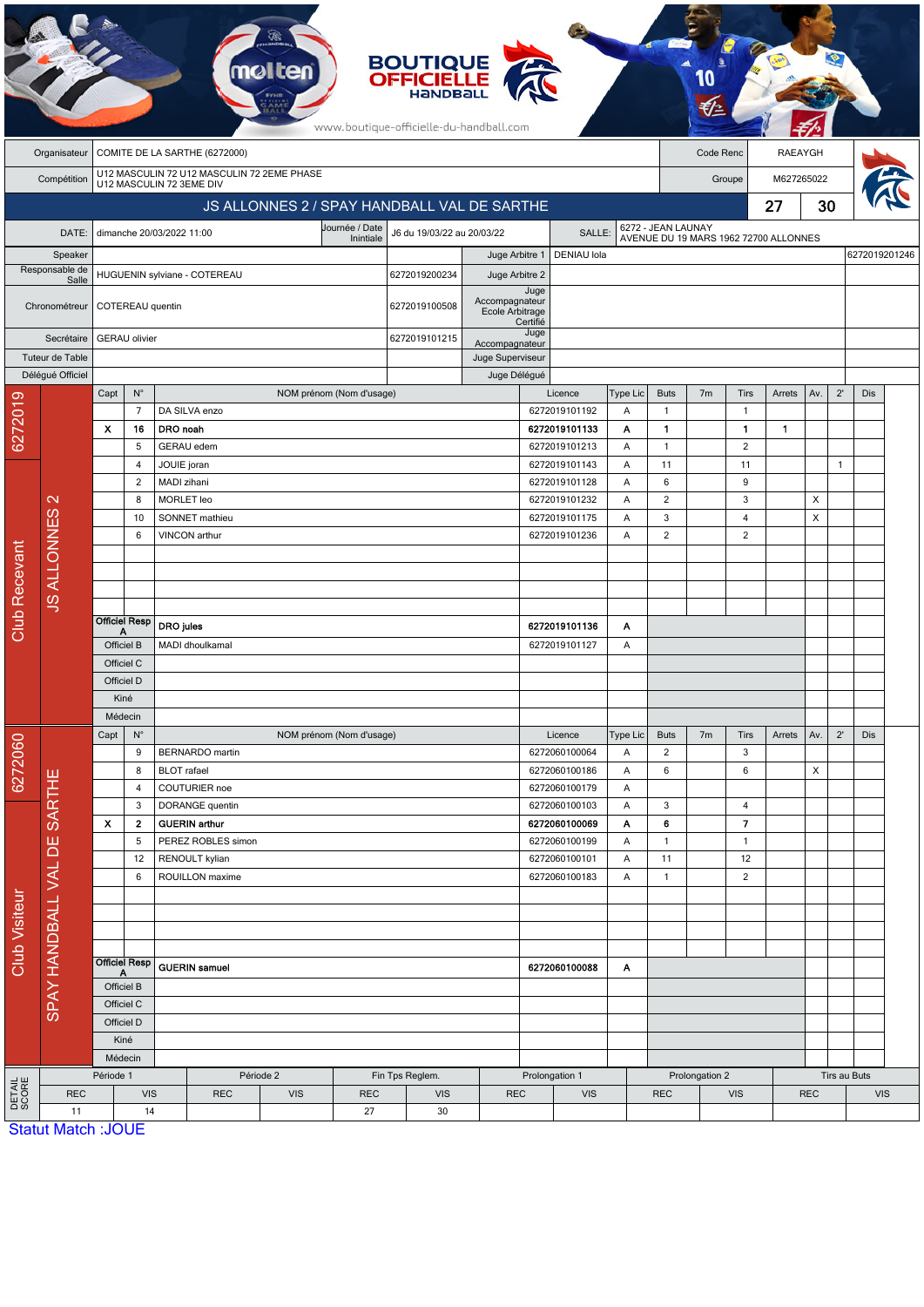|                      |                             |                                                                        |                           |                                         |                              |            |                          | <b>BOUTIQUE</b><br><b>OFFICIELLE</b><br>HaNDBal<br>www.boutique-officielle-du-handball.com |                    |                                     |                                |                                                             |                   |                |                                  |                |              |              |            |               |
|----------------------|-----------------------------|------------------------------------------------------------------------|---------------------------|-----------------------------------------|------------------------------|------------|--------------------------|--------------------------------------------------------------------------------------------|--------------------|-------------------------------------|--------------------------------|-------------------------------------------------------------|-------------------|----------------|----------------------------------|----------------|--------------|--------------|------------|---------------|
|                      | Organisateur                | COMITE DE LA SARTHE (6272000)                                          |                           |                                         |                              |            |                          |                                                                                            |                    |                                     |                                |                                                             | Code Renc         |                |                                  | <b>RAEAYGH</b> |              |              |            |               |
|                      | Compétition                 | U12 MASCULIN 72 U12 MASCULIN 72 2EME PHASE<br>U12 MASCULIN 72 3EME DIV |                           |                                         |                              |            |                          |                                                                                            |                    |                                     |                                |                                                             | Groupe            |                |                                  | M627265022     |              |              |            |               |
|                      |                             |                                                                        |                           |                                         |                              |            |                          | JS ALLONNES 2 / SPAY HANDBALL VAL DE SARTHE                                                |                    |                                     |                                |                                                             |                   | 27             |                                  |                | 30           |              |            |               |
|                      | DATE:                       |                                                                        |                           | dimanche 20/03/2022 11:00               |                              |            | Journée / Date           | J6 du 19/03/22 au 20/03/22                                                                 | SALLE:             |                                     |                                | 6272 - JEAN LAUNAY<br>AVENUE DU 19 MARS 1962 72700 ALLONNES |                   |                |                                  |                |              |              |            |               |
|                      | Speaker                     |                                                                        |                           |                                         |                              |            | Inintiale                |                                                                                            | Juge Arbitre 1     |                                     | DENIAU lola                    |                                                             |                   |                |                                  |                |              |              |            | 6272019201246 |
|                      | Responsable de<br>Salle     | HUGUENIN sylviane - COTEREAU                                           |                           |                                         |                              |            |                          | 6272019200234                                                                              | Juge Arbitre 2     |                                     |                                |                                                             |                   |                |                                  |                |              |              |            |               |
|                      | Chronométreur               | COTEREAU quentin                                                       |                           |                                         |                              |            |                          | 6272019100508                                                                              | Accompagnateur     | Juge<br>Ecole Arbitrage<br>Certifié |                                |                                                             |                   |                |                                  |                |              |              |            |               |
|                      | Secrétaire                  |                                                                        | <b>GERAU</b> olivier      |                                         |                              |            |                          | 6272019101215                                                                              | Accompagnateur     | Juge                                |                                |                                                             |                   |                |                                  |                |              |              |            |               |
|                      | Tuteur de Table             |                                                                        |                           |                                         |                              |            |                          |                                                                                            | Juge Superviseur   |                                     |                                |                                                             |                   |                |                                  |                |              |              |            |               |
|                      | Délégué Officiel            | Capt                                                                   | $N^{\circ}$               |                                         |                              |            | NOM prénom (Nom d'usage) |                                                                                            | Juge Délégué       |                                     | Licence                        | <b>Type Lic</b>                                             | <b>Buts</b>       | 7 <sub>m</sub> | Tirs                             | Arrets         | Av.          | $2^{\prime}$ | <b>Dis</b> |               |
| 6272019              |                             |                                                                        | $\overline{7}$            | DA SILVA enzo                           |                              |            |                          |                                                                                            |                    |                                     | 6272019101192                  | Α                                                           | $\mathbf{1}$      |                | $\mathbf{1}$                     |                |              |              |            |               |
|                      |                             | $\boldsymbol{\mathsf{x}}$                                              | 16                        | DRO noah                                |                              |            |                          |                                                                                            |                    |                                     | 6272019101133                  | Α                                                           | $\blacksquare$    |                | 1                                | $\mathbf{1}$   |              |              |            |               |
|                      |                             |                                                                        | 5                         | <b>GERAU</b> edem                       |                              |            |                          |                                                                                            |                    |                                     | 6272019101213                  | A                                                           | $\mathbf{1}$      |                | 2                                |                |              |              |            |               |
|                      |                             |                                                                        | $\overline{4}$            | JOUIE joran                             |                              |            |                          |                                                                                            |                    | 6272019101143                       | Α                              | 11                                                          |                   | 11             |                                  |                | $\mathbf{1}$ |              |            |               |
|                      |                             |                                                                        | 2                         | MADI zihani                             |                              |            |                          |                                                                                            |                    | 6272019101128                       | Α                              | 6                                                           |                   | 9              |                                  |                |              |              |            |               |
|                      | $\mathbf{\Omega}$           |                                                                        | 8                         | <b>MORLET</b> leo                       |                              |            |                          |                                                                                            |                    | 6272019101232                       | Α                              | $\overline{2}$                                              |                   | 3              |                                  | X              |              |              |            |               |
|                      |                             |                                                                        | 10<br>6                   | SONNET mathieu<br>VINCON arthur         |                              |            |                          |                                                                                            |                    |                                     | 6272019101175<br>6272019101236 | Α<br>A                                                      | 3<br>2            |                | $\overline{4}$<br>$\overline{2}$ |                | X            |              |            |               |
|                      |                             |                                                                        |                           |                                         |                              |            |                          |                                                                                            |                    |                                     |                                |                                                             |                   |                |                                  |                |              |              |            |               |
| Club Recevant        | <b>JS ALLONNES</b>          |                                                                        |                           |                                         |                              |            |                          |                                                                                            |                    |                                     |                                |                                                             |                   |                |                                  |                |              |              |            |               |
|                      |                             |                                                                        |                           |                                         |                              |            |                          |                                                                                            |                    |                                     |                                |                                                             |                   |                |                                  |                |              |              |            |               |
|                      |                             |                                                                        |                           |                                         |                              |            |                          |                                                                                            |                    |                                     |                                |                                                             |                   |                |                                  |                |              |              |            |               |
|                      |                             |                                                                        | <b>Officiel Resp</b><br>Α | <b>DRO</b> jules                        |                              |            |                          |                                                                                            |                    | 6272019101136                       | Α                              |                                                             |                   |                |                                  |                |              |              |            |               |
|                      |                             | Officiel B                                                             |                           | MADI dhoulkamal                         |                              |            |                          |                                                                                            |                    | 6272019101127                       | Α                              |                                                             |                   |                |                                  |                |              |              |            |               |
|                      |                             | Officiel C                                                             |                           |                                         |                              |            |                          |                                                                                            |                    |                                     |                                |                                                             |                   |                |                                  |                |              |              |            |               |
|                      |                             | Officiel D<br>Kiné                                                     |                           |                                         |                              |            |                          |                                                                                            |                    |                                     |                                |                                                             |                   |                |                                  |                |              |              |            |               |
|                      |                             | Médecin                                                                |                           |                                         |                              |            |                          |                                                                                            |                    |                                     |                                |                                                             |                   |                |                                  |                |              |              |            |               |
|                      |                             | $N^{\circ}$<br>Capt                                                    |                           | NOM prénom (Nom d'usage)                |                              |            |                          |                                                                                            |                    | Type Lic<br>Licence                 |                                |                                                             | <b>Buts</b>       | 7m             | Tirs                             | Arrets         | Av.          | $2^{\prime}$ | Dis        |               |
|                      |                             |                                                                        | 9                         |                                         | <b>BERNARDO</b> martin       |            |                          |                                                                                            |                    | 6272060100064<br>Α                  |                                |                                                             | $\overline{2}$    |                | 3                                |                |              |              |            |               |
| 6272060              |                             |                                                                        | 8                         |                                         | <b>BLOT</b> rafael           |            |                          |                                                                                            |                    |                                     | 6272060100186                  | Α                                                           | 6                 |                | 6                                |                | X            |              |            |               |
|                      |                             |                                                                        | 4                         | COUTURIER noe                           |                              |            |                          |                                                                                            |                    | 6272060100179                       | Α                              |                                                             |                   |                |                                  |                |              |              |            |               |
|                      |                             | 3<br>X<br>$\mathbf{2}$<br>5                                            |                           | DORANGE quentin<br><b>GUERIN</b> arthur |                              |            |                          |                                                                                            |                    |                                     | 6272060100103                  | Α                                                           | 3                 |                | $\overline{4}$                   |                |              |              |            |               |
|                      | SPAY HANDBALL VAL DE SARTHE |                                                                        |                           | PEREZ ROBLES simon                      |                              |            |                          |                                                                                            |                    |                                     | 6272060100069<br>6272060100199 | Α<br>Α                                                      | 6<br>$\mathbf{1}$ |                | 7<br>$\mathbf{1}$                |                |              |              |            |               |
|                      |                             | 12                                                                     |                           | RENOULT kylian                          |                              |            |                          |                                                                                            |                    |                                     | 6272060100101                  | Α                                                           | 11                |                | 12                               |                |              |              |            |               |
|                      |                             | 6                                                                      |                           | ROUILLON maxime                         |                              |            |                          |                                                                                            |                    | 6272060100183                       | Α                              | $\mathbf{1}$                                                |                   | $\overline{2}$ |                                  |                |              |              |            |               |
| <b>Club Visiteur</b> |                             |                                                                        |                           |                                         |                              |            |                          |                                                                                            |                    |                                     |                                |                                                             |                   |                |                                  |                |              |              |            |               |
|                      |                             |                                                                        |                           |                                         |                              |            |                          |                                                                                            |                    |                                     |                                |                                                             |                   |                |                                  |                |              |              |            |               |
|                      |                             |                                                                        |                           |                                         |                              |            |                          |                                                                                            |                    |                                     |                                |                                                             |                   |                |                                  |                |              |              |            |               |
|                      |                             | <b>Officiel Resp</b>                                                   |                           | <b>GUERIN</b> samuel                    |                              |            |                          |                                                                                            | 6272060100088<br>Α |                                     |                                |                                                             |                   |                |                                  |                |              |              |            |               |
|                      |                             |                                                                        | А                         |                                         |                              |            |                          |                                                                                            |                    |                                     |                                |                                                             |                   |                |                                  |                |              |              |            |               |
|                      |                             | Officiel B<br>Officiel C                                               |                           |                                         |                              |            |                          |                                                                                            |                    |                                     |                                |                                                             |                   |                |                                  |                |              |              |            |               |
|                      |                             |                                                                        | Officiel D                |                                         |                              |            |                          |                                                                                            |                    |                                     |                                |                                                             |                   |                |                                  |                |              |              |            |               |
|                      |                             | Kiné                                                                   |                           |                                         |                              |            |                          |                                                                                            |                    |                                     |                                |                                                             |                   |                |                                  |                |              |              |            |               |
|                      |                             |                                                                        | Médecin                   |                                         |                              |            |                          |                                                                                            |                    |                                     |                                |                                                             |                   |                |                                  |                |              |              |            |               |
|                      |                             | Période 1                                                              |                           |                                         | Période 2<br>Fin Tps Reglem. |            |                          |                                                                                            | Prolongation 1     |                                     |                                |                                                             | Prolongation 2    |                |                                  | Tirs au Buts   |              |              |            |               |
| DETAIL<br>SCORE      | <b>REC</b><br>11            | <b>VIS</b><br>14                                                       |                           |                                         | <b>REC</b>                   | <b>VIS</b> | <b>REC</b><br>27         | <b>VIS</b><br>30                                                                           | <b>REC</b>         |                                     | <b>VIS</b>                     |                                                             | <b>REC</b>        |                | <b>VIS</b>                       |                | <b>REC</b>   |              | <b>VIS</b> |               |
|                      | <b>Statut Match: JOUE</b>   |                                                                        |                           |                                         |                              |            |                          |                                                                                            |                    |                                     |                                |                                                             |                   |                |                                  |                |              |              |            |               |

-20